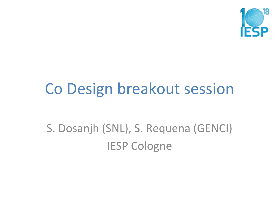

### Co Design breakout session

S. Dosanjh (SNL), S. Requena (GENCI) **IESP Cologne**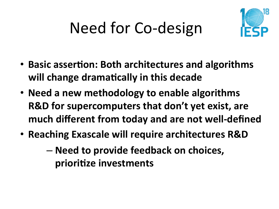# Need for Co-design



- Basic assertion: Both architectures and algorithms will change dramatically in this decade
- Need a new methodology to enable algorithms **R&D** for supercomputers that don't yet exist, are **much different from today and are not well-defined**
- Reaching Exascale will require architectures R&D
	- $-$  Need to provide feedback on choices, prioritize investments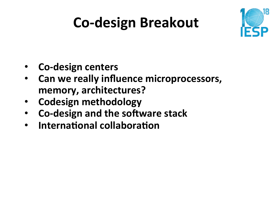## **Co-design Breakout**



- **Co-design centers**
- Can we really influence microprocessors, memory, architectures?
- **Codesign methodology**
- **Co-design and the software stack**
- **International collaboration**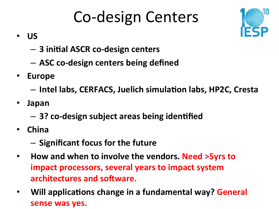## Co-design Centers



- **US**
	- $-$  3 initial ASCR co-design centers
	- **ASC co-design centers being defined**
- **Europe** 
	- $-$  Intel labs, CERFACS, Juelich simulation labs, HP2C, Cresta
- **Japan** 
	- $-$  3? co-design subject areas being identified
- **China** 
	- $-$  Significant focus for the future
- How and when to involve the vendors. Need >5yrs to **impact processors, several years to impact system architectures and software.**
- Will applications change in a fundamental way? General **sense was yes.**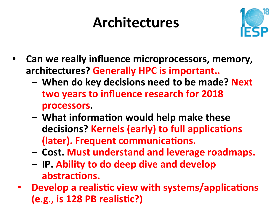### **Architectures**



- **Can we really influence microprocessors, memory,** architectures? Generally HPC is important..
	- When do key decisions need to be made? Next two years to influence research for 2018 **processors.**
	- What information would help make these decisions? Kernels (early) to full applications **(later). Frequent communications.**
	- $-$  Cost. Must understand and leverage roadmaps.
	- $-$  **IP.** Ability to do deep dive and develop abstractions.
	- **Develop a realistic view with systems/applications (e.g., is 128 PB realistic?)**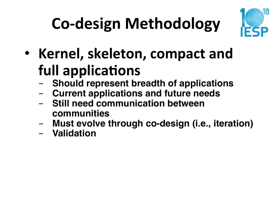# **Co-design Methodology**



- Kernel, skeleton, compact and **full applications** 
	- **Should represent breadth of applications**
	- **Current applications and future needs**
	- **Still need communication between communities**
	- **Must evolve through co-design (i.e., iteration)**
	- **Validation**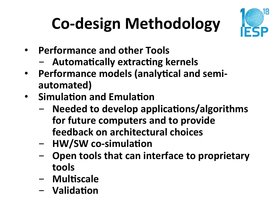# **Co-design Methodology**



- **Performance and other Tools** 
	- $-$  **Automatically extracting kernels**
- **Performance models (analytical and semiautomated)**
- **Simulation and Emulation** 
	- Needed to develop applications/algorithms **for future computers and to provide feedback on architectural choices**
	- **HW/SW** co-simulation
	- Open tools that can interface to proprietary **tools**
	- **Multiscale**
	- **Validation**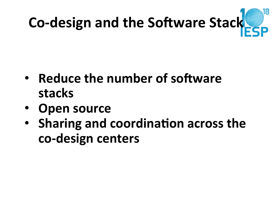

- **Reduce the number of software stacks**
- **Open source**
- **Sharing and coordination across the co-design centers**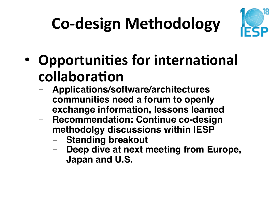# **Co-design Methodology**



- **Opportunities for international** collaboration
	- **Applications/software/architectures communities need a forum to openly exchange information, lessons learned**
	- **Recommendation: Continue co-design methodolgy discussions within IESP** 
		- **Standing breakout**
		- Deep dive at next meeting from Europe, **Japan and U.S.**